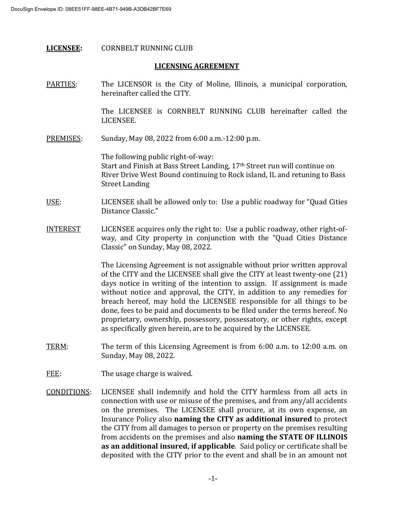# **LICENSEE:** CORNBELT RUNNING CLUB

# **LICENSING AGREEMENT**

PARTIES: The LICENSOR is the City of Moline, Illinois, a municipal corporation, hereinafter called the CITY.

> The LICENSEE is CORNBELT RUNNING CLUB hereinafter called the LICENSEE.

PREMISES: Sunday, May 08, 2022 from 6:00 a.m.-12:00 p.m.

The following public right-of-way: Start and Finish at Bass Street Landing, 17<sup>th</sup> Street run will continue on River Drive West Bound continuing to Rock island, IL and retuning to Bass Street Landing

# USE: LICENSEE shall be allowed only to: Use a public roadway for "Quad Cities Distance Classic."

INTEREST LICENSEE acquires only the right to: Use a public roadway, other right-ofway, and City property in conjunction with the "Quad Cities Distance Classic" on Sunday, May 08, 2022*.*

> The Licensing Agreement is not assignable without prior written approval of the CITY and the LICENSEE shall give the CITY at least twenty-one (21) days notice in writing of the intention to assign. If assignment is made without notice and approval, the CITY, in addition to any remedies for breach hereof, may hold the LICENSEE responsible for all things to be done, fees to be paid and documents to be filed under the terms hereof. No proprietary, ownership, possessory, possessatory, or other rights, except as specifically given herein, are to be acquired by the LICENSEE.

- TERM: The term of this Licensing Agreement is from 6:00 a.m. to 12:00 a.m. on Sunday, May 08, 2022.
- FEE: The usage charge is waived.
- CONDITIONS: LICENSEE shall indemnify and hold the CITY harmless from all acts in connection with use or misuse of the premises, and from any/all accidents on the premises. The LICENSEE shall procure, at its own expense, an Insurance Policy also **naming the CITY as additional insured** to protect the CITY from all damages to person or property on the premises resulting from accidents on the premises and also **naming the STATE OF ILLINOIS as an additional insured, if applicable**. Said policy or certificate shall be deposited with the CITY prior to the event and shall be in an amount not